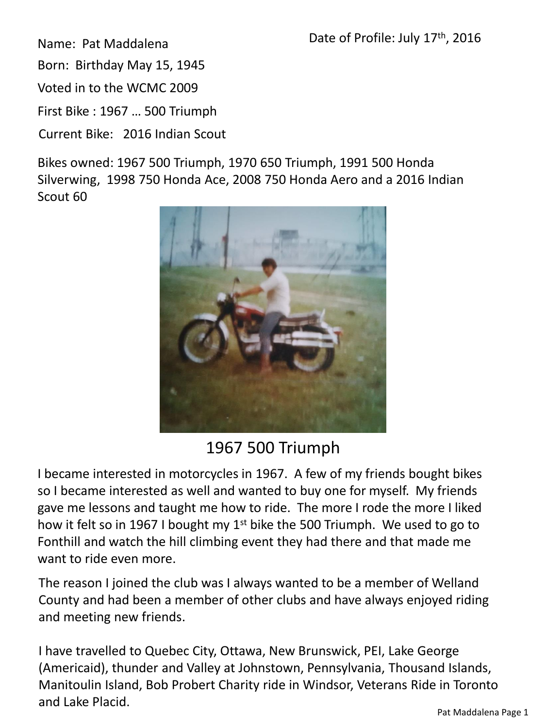Name: Pat Maddalena

Born: Birthday May 15, 1945

Voted in to the WCMC 2009

First Bike : 1967 … 500 Triumph

Current Bike: 2016 Indian Scout

Bikes owned: 1967 500 Triumph, 1970 650 Triumph, 1991 500 Honda Silverwing, 1998 750 Honda Ace, 2008 750 Honda Aero and a 2016 Indian Scout 60



## 1967 500 Triumph

I became interested in motorcycles in 1967. A few of my friends bought bikes so I became interested as well and wanted to buy one for myself. My friends gave me lessons and taught me how to ride. The more I rode the more I liked how it felt so in 1967 I bought my  $1^{st}$  bike the 500 Triumph. We used to go to Fonthill and watch the hill climbing event they had there and that made me want to ride even more.

The reason I joined the club was I always wanted to be a member of Welland County and had been a member of other clubs and have always enjoyed riding and meeting new friends.

I have travelled to Quebec City, Ottawa, New Brunswick, PEI, Lake George (Americaid), thunder and Valley at Johnstown, Pennsylvania, Thousand Islands, Manitoulin Island, Bob Probert Charity ride in Windsor, Veterans Ride in Toronto and Lake Placid.